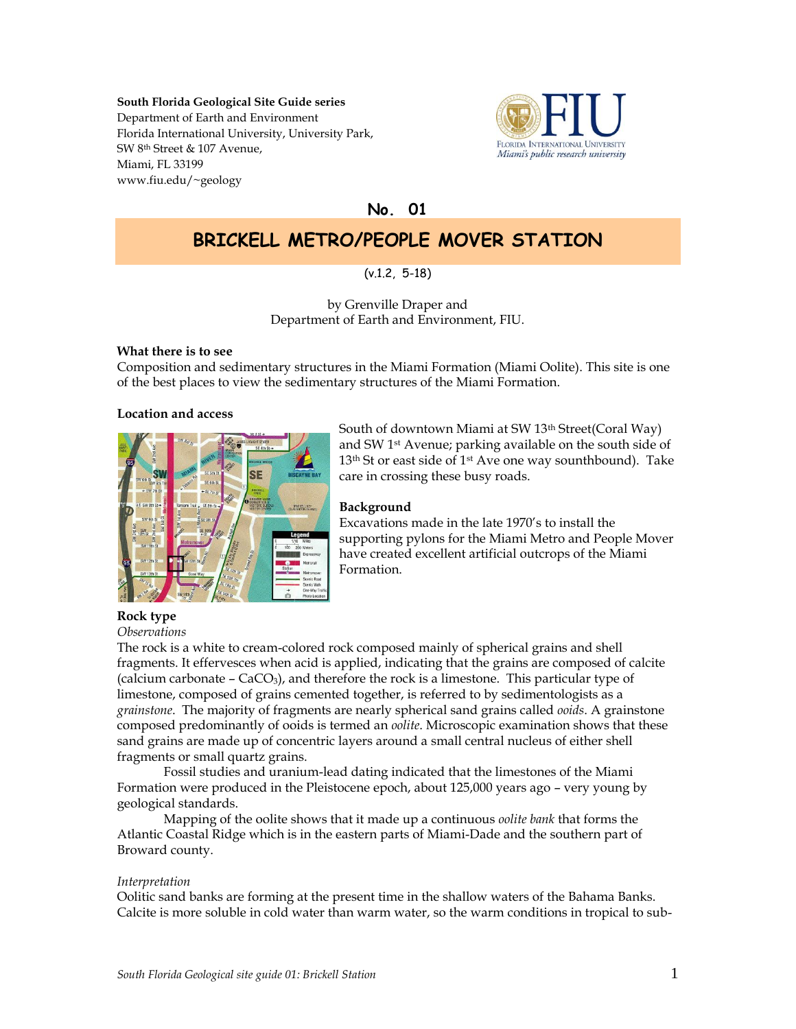## **South Florida Geological Site Guide series** Department of Earth and Environment Florida International University, University Park, SW 8th Street & 107 Avenue, Miami, FL 33199 www.fiu.edu/~geology



**No. 01**

# **BRICKELL METRO/PEOPLE MOVER STATION**

# (v.1.2, 5-18)

by Grenville Draper and Department of Earth and Environment, FIU.

## **What there is to see**

Composition and sedimentary structures in the Miami Formation (Miami Oolite). This site is one of the best places to view the sedimentary structures of the Miami Formation.

#### **Location and access**



South of downtown Miami at SW 13th Street(Coral Way) and SW 1st Avenue; parking available on the south side of 13<sup>th</sup> St or east side of 1<sup>st</sup> Ave one way sounthbound). Take care in crossing these busy roads.

# **Background**

Excavations made in the late 1970's to install the supporting pylons for the Miami Metro and People Mover have created excellent artificial outcrops of the Miami Formation.

# **Rock type**

The rock is a white to cream-colored rock composed mainly of spherical grains and shell fragments. It effervesces when acid is applied, indicating that the grains are composed of calcite (calcium carbonate –  $CaCO<sub>3</sub>$ ), and therefore the rock is a limestone. This particular type of limestone, composed of grains cemented together, is referred to by sedimentologists as a *grainstone*. The majority of fragments are nearly spherical sand grains called *ooids*. A grainstone composed predominantly of ooids is termed an *oolite*. Microscopic examination shows that these sand grains are made up of concentric layers around a small central nucleus of either shell fragments or small quartz grains.

Fossil studies and uranium-lead dating indicated that the limestones of the Miami Formation were produced in the Pleistocene epoch, about 125,000 years ago – very young by geological standards.

Mapping of the oolite shows that it made up a continuous *oolite bank* that forms the Atlantic Coastal Ridge which is in the eastern parts of Miami-Dade and the southern part of Broward county.

# *Interpretation*

Oolitic sand banks are forming at the present time in the shallow waters of the Bahama Banks. Calcite is more soluble in cold water than warm water, so the warm conditions in tropical to sub-

*Observations*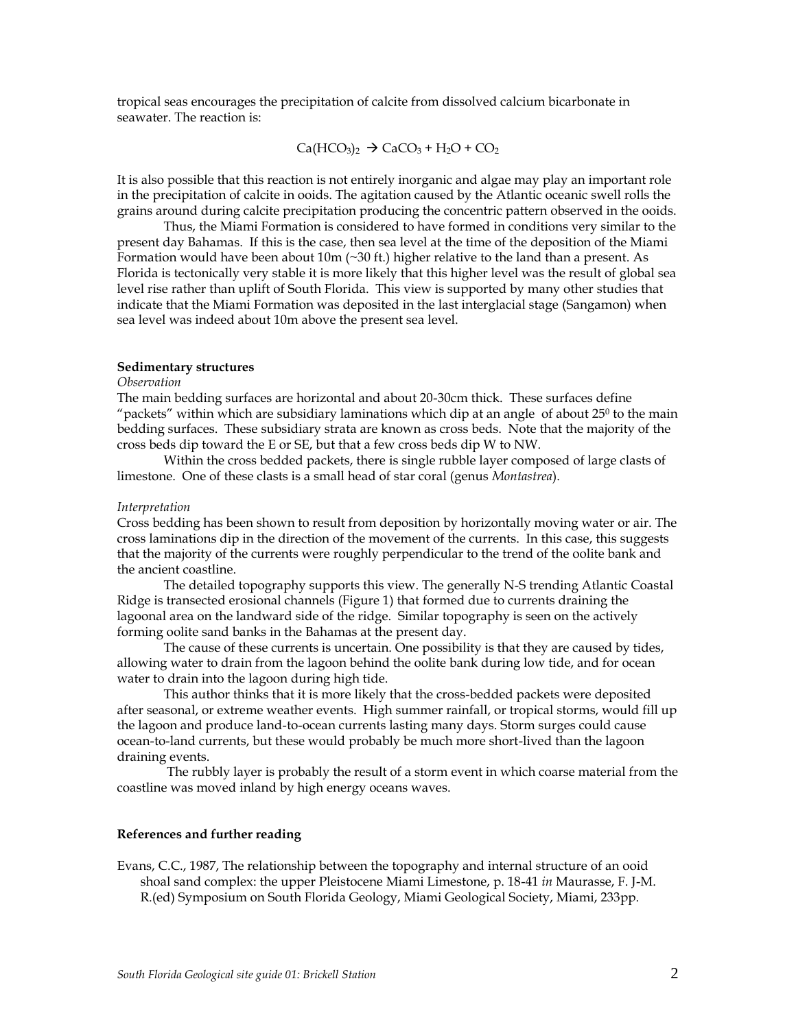tropical seas encourages the precipitation of calcite from dissolved calcium bicarbonate in seawater. The reaction is:

$$
\text{Ca}(\text{HCO}_3)_2 \rightarrow \text{CaCO}_3 + \text{H}_2\text{O} + \text{CO}_2
$$

It is also possible that this reaction is not entirely inorganic and algae may play an important role in the precipitation of calcite in ooids. The agitation caused by the Atlantic oceanic swell rolls the grains around during calcite precipitation producing the concentric pattern observed in the ooids.

Thus, the Miami Formation is considered to have formed in conditions very similar to the present day Bahamas. If this is the case, then sea level at the time of the deposition of the Miami Formation would have been about  $10m$  ( $\sim$ 30 ft.) higher relative to the land than a present. As Florida is tectonically very stable it is more likely that this higher level was the result of global sea level rise rather than uplift of South Florida. This view is supported by many other studies that indicate that the Miami Formation was deposited in the last interglacial stage (Sangamon) when sea level was indeed about 10m above the present sea level.

#### **Sedimentary structures**

#### *Observation*

The main bedding surfaces are horizontal and about 20-30cm thick. These surfaces define "packets" within which are subsidiary laminations which dip at an angle of about 25<sup>0</sup> to the main bedding surfaces. These subsidiary strata are known as cross beds. Note that the majority of the cross beds dip toward the E or SE, but that a few cross beds dip W to NW.

Within the cross bedded packets, there is single rubble layer composed of large clasts of limestone. One of these clasts is a small head of star coral (genus *Montastrea*).

#### *Interpretation*

Cross bedding has been shown to result from deposition by horizontally moving water or air. The cross laminations dip in the direction of the movement of the currents. In this case, this suggests that the majority of the currents were roughly perpendicular to the trend of the oolite bank and the ancient coastline.

The detailed topography supports this view. The generally N-S trending Atlantic Coastal Ridge is transected erosional channels (Figure 1) that formed due to currents draining the lagoonal area on the landward side of the ridge. Similar topography is seen on the actively forming oolite sand banks in the Bahamas at the present day.

The cause of these currents is uncertain. One possibility is that they are caused by tides, allowing water to drain from the lagoon behind the oolite bank during low tide, and for ocean water to drain into the lagoon during high tide.

This author thinks that it is more likely that the cross-bedded packets were deposited after seasonal, or extreme weather events. High summer rainfall, or tropical storms, would fill up the lagoon and produce land-to-ocean currents lasting many days. Storm surges could cause ocean-to-land currents, but these would probably be much more short-lived than the lagoon draining events.

The rubbly layer is probably the result of a storm event in which coarse material from the coastline was moved inland by high energy oceans waves.

### **References and further reading**

Evans, C.C., 1987, The relationship between the topography and internal structure of an ooid shoal sand complex: the upper Pleistocene Miami Limestone, p. 18-41 *in* Maurasse, F. J-M. R.(ed) Symposium on South Florida Geology, Miami Geological Society, Miami, 233pp.